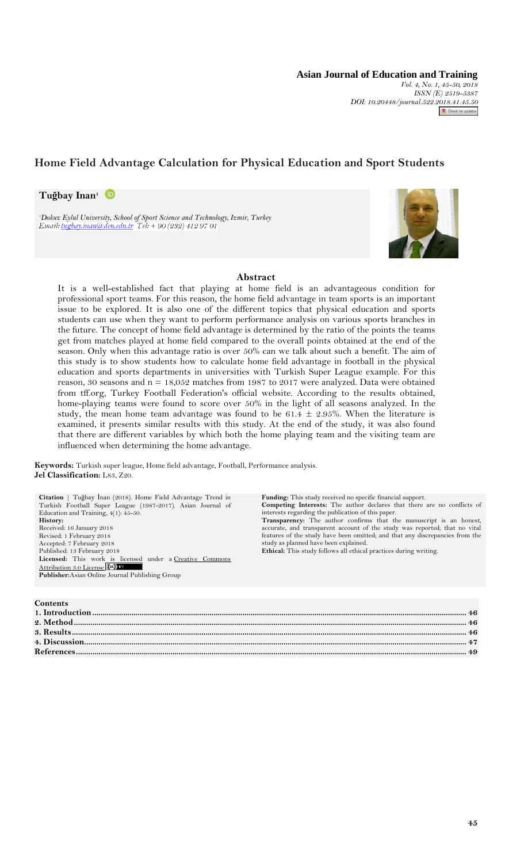**Asian Journal of Education and Training** *Vol. 4, No. 1, 45-50, 2018 ISSN (E) 2519-5387 DOI: 10.20448/journal.522.[2018.41.45.50](http://crossmark.crossref.org/dialog/?doi=10.20448/journal.522.2018.41.45.50&domain=pdf&date_stamp=2017-01-14)* Check for updates

# **Home Field Advantage Calculation for Physical Education and Sport Students**

**Tuğbay Inan<sup>1</sup>**

*<sup>1</sup>Dokuz Eylul University, School of Sport Science and Technology, Izmir, Turkey*



## **Abstract**

It is a well-established fact that playing at home field is an advantageous condition for professional sport teams. For this reason, the home field advantage in team sports is an important issue to be explored. It is also one of the different topics that physical education and sports students can use when they want to perform performance analysis on various sports branches in the future. The concept of home field advantage is determined by the ratio of the points the teams get from matches played at home field compared to the overall points obtained at the end of the season. Only when this advantage ratio is over 50% can we talk about such a benefit. The aim of this study is to show students how to calculate home field advantage in football in the physical education and sports departments in universities with Turkish Super League example. For this reason, 30 seasons and  $n = 18,052$  matches from 1987 to 2017 were analyzed. Data were obtained from tff.org, Turkey Football Federation's official website. According to the results obtained, home-playing teams were found to score over 50% in the light of all seasons analyzed. In the study, the mean home team advantage was found to be 61.4  $\pm$  2.95%. When the literature is examined, it presents similar results with this study. At the end of the study, it was also found that there are different variables by which both the home playing team and the visiting team are influenced when determining the home advantage.

**Keywords:** Turkish super league, Home field advantage, Football, Performance analysis. **Jel Classification:** L83, Z20.

| Citation   Tuğbay İnan (2018). Home Field Advantage Trend in<br>Turkish Football Super League (1987-2017). Asian Journal of<br>Education and Training, $4(1)$ : 45-50.<br>History:<br>Received: 16 January 2018<br>Revised: 1 February 2018<br>Accepted: 7 February 2018<br>Published: 13 February 2018<br>Licensed: This work is licensed under a Creative Commons<br>Attribution 3.0 License (cc)<br>Publisher: Asian Online Journal Publishing Group | <b>Funding:</b> This study received no specific financial support.<br><b>Competing Interests:</b> The author declares that there are no conflicts of<br>interests regarding the publication of this paper.<br><b>Transparency:</b> The author confirms that the manuscript is an honest,<br>accurate, and transparent account of the study was reported; that no vital<br>features of the study have been omitted; and that any discrepancies from the<br>study as planned have been explained.<br>Ethical: This study follows all ethical practices during writing. |
|---------------------------------------------------------------------------------------------------------------------------------------------------------------------------------------------------------------------------------------------------------------------------------------------------------------------------------------------------------------------------------------------------------------------------------------------------------|----------------------------------------------------------------------------------------------------------------------------------------------------------------------------------------------------------------------------------------------------------------------------------------------------------------------------------------------------------------------------------------------------------------------------------------------------------------------------------------------------------------------------------------------------------------------|
|                                                                                                                                                                                                                                                                                                                                                                                                                                                         |                                                                                                                                                                                                                                                                                                                                                                                                                                                                                                                                                                      |
| <b>Contents</b><br>1. Introduction                                                                                                                                                                                                                                                                                                                                                                                                                      |                                                                                                                                                                                                                                                                                                                                                                                                                                                                                                                                                                      |

| <u>та примечения совменного совменного совменного совменного совменного совменного совменного совменного совменного совменного совменного совменного совменного совменного совменного совмен</u> |  |
|--------------------------------------------------------------------------------------------------------------------------------------------------------------------------------------------------|--|
|                                                                                                                                                                                                  |  |
|                                                                                                                                                                                                  |  |
|                                                                                                                                                                                                  |  |
|                                                                                                                                                                                                  |  |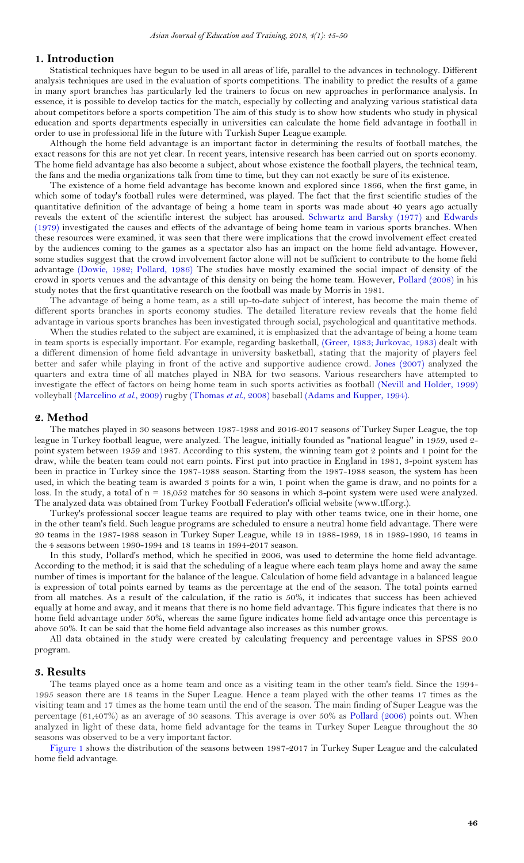# <span id="page-1-0"></span>**1. Introduction**

Statistical techniques have begun to be used in all areas of life, parallel to the advances in technology. Different analysis techniques are used in the evaluation of sports competitions. The inability to predict the results of a game in many sport branches has particularly led the trainers to focus on new approaches in performance analysis. In essence, it is possible to develop tactics for the match, especially by collecting and analyzing various statistical data about competitors before a sports competition The aim of this study is to show how students who study in physical education and sports departments especially in universities can calculate the home field advantage in football in order to use in professional life in the future with Turkish Super League example.

Although the home field advantage is an important factor in determining the results of football matches, the exact reasons for this are not yet clear. In recent years, intensive research has been carried out on sports economy. The home field advantage has also become a subject, about whose existence the football players, the technical team, the fans and the media organizations talk from time to time, but they can not exactly be sure of its existence.

The existence of a home field advantage has become known and explored since 1866, when the first game, in which some of today's football rules were determined, was played. The fact that the first scientific studies of the quantitative definition of the advantage of being a home team in sports was made about 40 years ago actually reveals the extent of the scientific interest the subject has aroused. [Schwartz and Barsky \(1977\)](#page-5-0) and [Edwards](#page-4-1)  [\(1979\)](#page-4-1) investigated the causes and effects of the advantage of being home team in various sports branches. When these resources were examined, it was seen that there were implications that the crowd involvement effect created by the audiences coming to the games as a spectator also has an impact on the home field advantage. However, some studies suggest that the crowd involvement factor alone will not be sufficient to contribute to the home field advantage [\(Dowie, 1982;](#page-4-2) [Pollard, 1986\)](#page-4-3) The studies have mostly examined the social impact of density of the crowd in sports venues and the advantage of this density on being the home team. However, [Pollard \(2008\)](#page-5-1) in his study notes that the first quantitative research on the football was made by Morris in 1981.

The advantage of being a home team, as a still up-to-date subject of interest, has become the main theme of different sports branches in sports economy studies. The detailed literature review reveals that the home field advantage in various sports branches has been investigated through social, psychological and quantitative methods.

When the studies related to the subject are examined, it is emphasized that the advantage of being a home team in team sports is especially important. For example, regarding basketball, [\(Greer, 1983;](#page-4-4) [Jurkovac, 1983\)](#page-4-5) dealt with a different dimension of home field advantage in university basketball, stating that the majority of players feel better and safer while playing in front of the active and supportive audience crowd. [Jones \(2007\)](#page-4-6) analyzed the quarters and extra time of all matches played in NBA for two seasons. Various researchers have attempted to investigate the effect of factors on being home team in such sports activities as football [\(Nevill and Holder, 1999\)](#page-4-7) volleyball [\(Marcelino](#page-4-8) *et al.*, 2009) rugby [\(Thomas](#page-5-2) *et al.*, 2008) baseball [\(Adams and Kupper, 1994\)](#page-4-9).

#### <span id="page-1-1"></span>**2. Method**

The matches played in 30 seasons between 1987-1988 and 2016-2017 seasons of Turkey Super League, the top league in Turkey football league, were analyzed. The league, initially founded as "national league" in 1959, used 2 point system between 1959 and 1987. According to this system, the winning team got 2 points and 1 point for the draw, while the beaten team could not earn points. First put into practice in England in 1981, 3-point system has been in practice in Turkey since the 1987-1988 season. Starting from the 1987-1988 season, the system has been used, in which the beating team is awarded 3 points for a win, 1 point when the game is draw, and no points for a loss. In the study, a total of n = 18,052 matches for 30 seasons in which 3-point system were used were analyzed. The analyzed data was obtained from Turkey Football Federation's official website (www.tff.org.).

Turkey's professional soccer league teams are required to play with other teams twice, one in their home, one in the other team's field. Such league programs are scheduled to ensure a neutral home field advantage. There were 20 teams in the 1987-1988 season in Turkey Super League, while 19 in 1988-1989, 18 in 1989-1990, 16 teams in the 4 seasons between 1990-1994 and 18 teams in 1994-2017 season.

In this study, Pollard's method, which he specified in 2006, was used to determine the home field advantage. According to the method; it is said that the scheduling of a league where each team plays home and away the same number of times is important for the balance of the league. Calculation of home field advantage in a balanced league is expression of total points earned by teams as the percentage at the end of the season. The total points earned from all matches. As a result of the calculation, if the ratio is 50%, it indicates that success has been achieved equally at home and away, and it means that there is no home field advantage. This figure indicates that there is no home field advantage under 50%, whereas the same figure indicates home field advantage once this percentage is above 50%. It can be said that the home field advantage also increases as this number grows.

All data obtained in the study were created by calculating frequency and percentage values in SPSS 20.0 program.

#### <span id="page-1-2"></span>**3. Results**

The teams played once as a home team and once as a visiting team in the other team's field. Since the 1994- 1995 season there are 18 teams in the Super League. Hence a team played with the other teams 17 times as the visiting team and 17 times as the home team until the end of the season. The main finding of Super League was the percentage (61,407%) as an average of 30 seasons. This average is over 50% as [Pollard \(2006\)](#page-5-3) points out. When analyzed in light of these data, home field advantage for the teams in Turkey Super League throughout the 30 seasons was observed to be a very important factor.

[Figure 1](#page-2-1) shows the distribution of the seasons between 1987-2017 in Turkey Super League and the calculated home field advantage.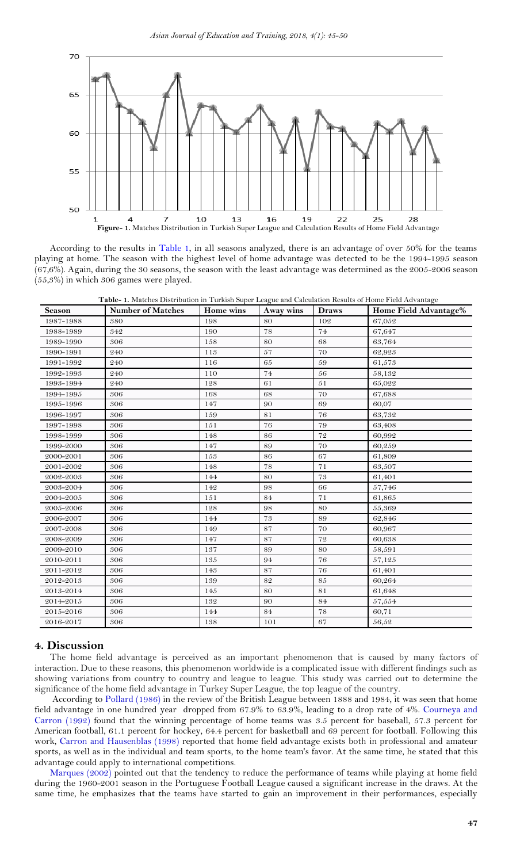

According to the results in [Table 1,](#page-2-2) in all seasons analyzed, there is an advantage of over 50% for the teams playing at home. The season with the highest level of home advantage was detected to be the 1994-1995 season (67,6%). Again, during the 30 seasons, the season with the least advantage was determined as the 2005-2006 season (55,3%) in which 306 games were played.

<span id="page-2-2"></span><span id="page-2-1"></span>

| Table- 1. Matches Distribution in Turkish Super League and Calculation Results of Home Field Advantage |  |
|--------------------------------------------------------------------------------------------------------|--|
|--------------------------------------------------------------------------------------------------------|--|

| Season    | <b>Table- 1.</b> Materies Distribution in Turnish Super League and Calculation Results of Home I feld Advantage<br><b>Number of Matches</b> | Home wins | Away wins | <b>Draws</b> | Home Field Advantage% |
|-----------|---------------------------------------------------------------------------------------------------------------------------------------------|-----------|-----------|--------------|-----------------------|
| 1987-1988 | 380                                                                                                                                         | 198       | 80        | 102          | 67,052                |
| 1988-1989 | 342                                                                                                                                         | 190       | 78        | 74           | 67,647                |
| 1989-1990 | 306                                                                                                                                         | 158       | 80        | 68           | 63,764                |
| 1990-1991 | 240                                                                                                                                         | 113       | 57        | 70           | 62,923                |
| 1991-1992 | 240                                                                                                                                         | 116       | 65        | 59           | 61,573                |
| 1992-1993 | 240                                                                                                                                         | 110       | 74        | 56           | 58,132                |
| 1993-1994 | 240                                                                                                                                         | 128       | 61        | 51           | 65,022                |
| 1994-1995 | 306                                                                                                                                         | 168       | 68        | 70           | 67,688                |
| 1995-1996 | 306                                                                                                                                         | 147       | 90        | 69           | 60,07                 |
| 1996-1997 | 306                                                                                                                                         | 159       | 81        | 76           | 63,732                |
| 1997-1998 | 306                                                                                                                                         | 151       | 76        | 79           | 63,408                |
| 1998-1999 | 306                                                                                                                                         | 148       | 86        | 72           | 60,992                |
| 1999-2000 | 306                                                                                                                                         | 147       | 89        | 70           | 60,259                |
| 2000-2001 | 306                                                                                                                                         | 153       | 86        | 67           | 61,809                |
| 2001-2002 | 306                                                                                                                                         | 148       | 78        | 71           | 63,507                |
| 2002-2003 | 306                                                                                                                                         | 144       | 80        | 73           | 61,401                |
| 2003-2004 | 306                                                                                                                                         | 142       | 98        | 66           | 57,746                |
| 2004-2005 | 306                                                                                                                                         | 151       | 84        | 71           | 61,865                |
| 2005-2006 | 306                                                                                                                                         | 128       | 98        | 80           | 55,369                |
| 2006-2007 | 306                                                                                                                                         | 144       | 73        | 89           | 62,846                |
| 2007-2008 | 306                                                                                                                                         | 149       | 87        | 70           | 60,967                |
| 2008-2009 | 306                                                                                                                                         | 147       | 87        | 72           | 60,638                |
| 2009-2010 | 306                                                                                                                                         | 137       | 89        | 80           | 58,591                |
| 2010-2011 | 306                                                                                                                                         | 135       | 94        | 76           | 57,125                |
| 2011-2012 | 306                                                                                                                                         | 143       | 87        | 76           | 61,401                |
| 2012-2013 | 306                                                                                                                                         | 139       | 82        | 85           | 60,264                |
| 2013-2014 | 306                                                                                                                                         | 145       | 80        | 81           | 61,648                |
| 2014-2015 | 306                                                                                                                                         | 132       | 90        | 84           | 57,554                |
| 2015-2016 | 306                                                                                                                                         | 144       | 84        | 78           | 60,71                 |
| 2016-2017 | 306                                                                                                                                         | 138       | 101       | 67           | 56,52                 |

### <span id="page-2-0"></span>**4. Discussion**

The home field advantage is perceived as an important phenomenon that is caused by many factors of interaction. Due to these reasons, this phenomenon worldwide is a complicated issue with different findings such as showing variations from country to country and league to league. This study was carried out to determine the significance of the home field advantage in Turkey Super League, the top league of the country.

According to [Pollard \(1986\)](#page-4-3) in the review of the British League between 1888 and 1984, it was seen that home field advantage in one hundred year dropped from 67.9% to 63.9%, leading to a drop rate of 4%. [Courneya and](#page-4-10)  [Carron \(1992\)](#page-4-10) found that the winning percentage of home teams was 3.5 percent for baseball, 57.3 percent for American football, 61.1 percent for hockey, 64.4 percent for basketball and 69 percent for football. Following this work, [Carron and Hausenblas \(1998\)](#page-4-11) reported that home field advantage exists both in professional and amateur sports, as well as in the individual and team sports, to the home team's favor. At the same time, he stated that this advantage could apply to international competitions.

[Marques \(2002\)](#page-4-12) pointed out that the tendency to reduce the performance of teams while playing at home field during the 1960-2001 season in the Portuguese Football League caused a significant increase in the draws. At the same time, he emphasizes that the teams have started to gain an improvement in their performances, especially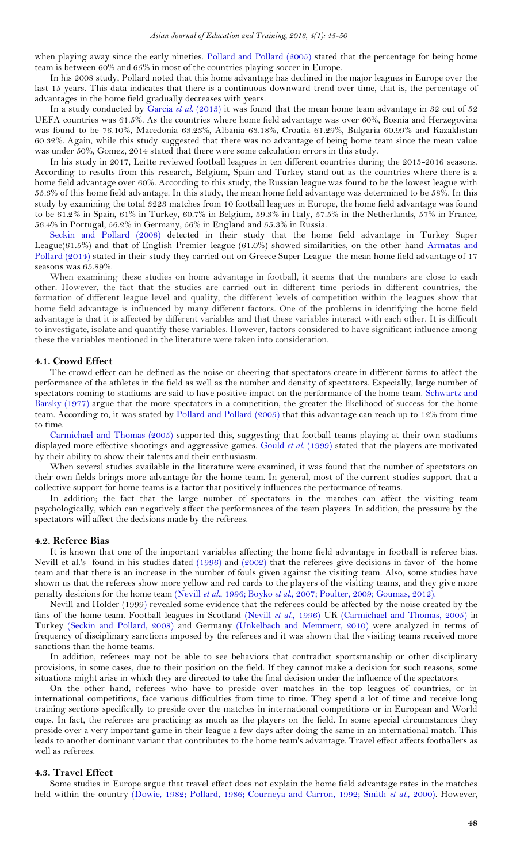when playing away since the early nineties. [Pollard and Pollard \(2005\)](#page-5-4) stated that the percentage for being home team is between 60% and 65% in most of the countries playing soccer in Europe.

In his 2008 study, Pollard noted that this home advantage has declined in the major leagues in Europe over the last 15 years. This data indicates that there is a continuous downward trend over time, that is, the percentage of advantages in the home field gradually decreases with years.

In a study conducted by [Garcia](#page-4-13) et al. (2013) it was found that the mean home team advantage in 32 out of 52 UEFA countries was 61.5%. As the countries where home field advantage was over 60%, Bosnia and Herzegovina was found to be 76.10%, Macedonia 63.23%, Albania 63.18%, Croatia 61.29%, Bulgaria 60.99% and Kazakhstan 60.32%. Again, while this study suggested that there was no advantage of being home team since the mean value was under 50%, Gomez, 2014 stated that there were some calculation errors in this study.

In his study in 2017, Leitte reviewed football leagues in ten different countries during the 2015-2016 seasons. According to results from this research, Belgium, Spain and Turkey stand out as the countries where there is a home field advantage over 60%. According to this study, the Russian league was found to be the lowest league with 55.3% of this home field advantage. In this study, the mean home field advantage was determined to be 58%. In this study by examining the total 3223 matches from 10 football leagues in Europe, the home field advantage was found to be 61.2% in Spain, 61% in Turkey, 60.7% in Belgium, 59.3% in Italy, 57.5% in the Netherlands, 57% in France, 56.4% in Portugal, 56.2% in Germany, 56% in England and 55.3% in Russia.

[Seckin and Pollard \(2008\)](#page-5-5) detected in their study that the home field advantage in Turkey Super League(61.5%) and that of English Premier league (61.0%) showed similarities, on the other hand [Armatas and](#page-4-14)  [Pollard \(2014\)](#page-4-14) stated in their study they carried out on Greece Super League the mean home field advantage of 17 seasons was 65.89%.

When examining these studies on home advantage in football, it seems that the numbers are close to each other. However, the fact that the studies are carried out in different time periods in different countries, the formation of different league level and quality, the different levels of competition within the leagues show that home field advantage is influenced by many different factors. One of the problems in identifying the home field advantage is that it is affected by different variables and that these variables interact with each other. It is difficult to investigate, isolate and quantify these variables. However, factors considered to have significant influence among these the variables mentioned in the literature were taken into consideration.

#### **4.1. Crowd Effect**

The crowd effect can be defined as the noise or cheering that spectators create in different forms to affect the performance of the athletes in the field as well as the number and density of spectators. Especially, large number of spectators coming to stadiums are said to have positive impact on the performance of the home team. [Schwartz and](#page-5-0)  [Barsky \(1977\)](#page-5-0) argue that the more spectators in a competition, the greater the likelihood of success for the home team. According to, it was stated by [Pollard and Pollard \(2005\)](#page-5-4) that this advantage can reach up to 12% from time to time.

[Carmichael and Thomas \(2005\)](#page-4-15) supported this, suggesting that football teams playing at their own stadiums displayed more effective shootings and aggressive games. [Gould](#page-4-16) *et al.* (1999) stated that the players are motivated by their ability to show their talents and their enthusiasm.

When several studies available in the literature were examined, it was found that the number of spectators on their own fields brings more advantage for the home team. In general, most of the current studies support that a collective support for home teams is a factor that positively influences the performance of teams.

In addition; the fact that the large number of spectators in the matches can affect the visiting team psychologically, which can negatively affect the performances of the team players. In addition, the pressure by the spectators will affect the decisions made by the referees.

#### **4.2. Referee Bias**

It is known that one of the important variables affecting the home field advantage in football is referee bias. Nevill et al.'s found in his studies dated [\(1996\)](#page-4-17) and [\(2002\)](#page-4-18) that the referees give decisions in favor of the home team and that there is an increase in the number of fouls given against the visiting team. Also, some studies have shown us that the referees show more yellow and red cards to the players of the visiting teams, and they give more penalty desicions for the home team [\(Nevill](#page-4-17) *et al.*, 1996[; Boyko](#page-4-19) *et al.*, 2007; [Poulter, 2009;](#page-5-6) [Goumas, 2012\)](#page-4-20)[.](#page-4-0)

[Nevill and Holder \(1999\)](#page-4-7) revealed some evidence that the referees could be affected by the noise created by the fans of the home team. Football leagues in Scotland (Nevill *et al.*[, 1996\)](#page-4-17) UK [\(Carmichael and Thomas, 2005\)](#page-4-15) in Turkey [\(Seckin and Pollard, 2008\)](#page-5-5) and Germany [\(Unkelbach and Memmert, 2010\)](#page-5-7) were analyzed in terms of frequency of disciplinary sanctions imposed by the referees and it was shown that the visiting teams received more sanctions than the home teams.

In addition, referees may not be able to see behaviors that contradict sportsmanship or other disciplinary provisions, in some cases, due to their position on the field. If they cannot make a decision for such reasons, some situations might arise in which they are directed to take the final decision under the influence of the spectators.

On the other hand, referees who have to preside over matches in the top leagues of countries, or in international competitions, face various difficulties from time to time. They spend a lot of time and receive long training sections specifically to preside over the matches in international competitions or in European and World cups. In fact, the referees are practicing as much as the players on the field. In some special circumstances they preside over a very important game in their league a few days after doing the same in an international match. This leads to another dominant variant that contributes to the home team's advantage. Travel effect affects footballers as well as referees.

#### **4.3. Travel Effect**

Some studies in Europe argue that travel effect does not explain the home field advantage rates in the matches held within the country [\(Dowie, 1982;](#page-4-2) [Pollard, 1986;](#page-4-3) [Courneya and Carron, 1992;](#page-4-10) Smith *et al.*[, 2000\)](#page-5-8). However,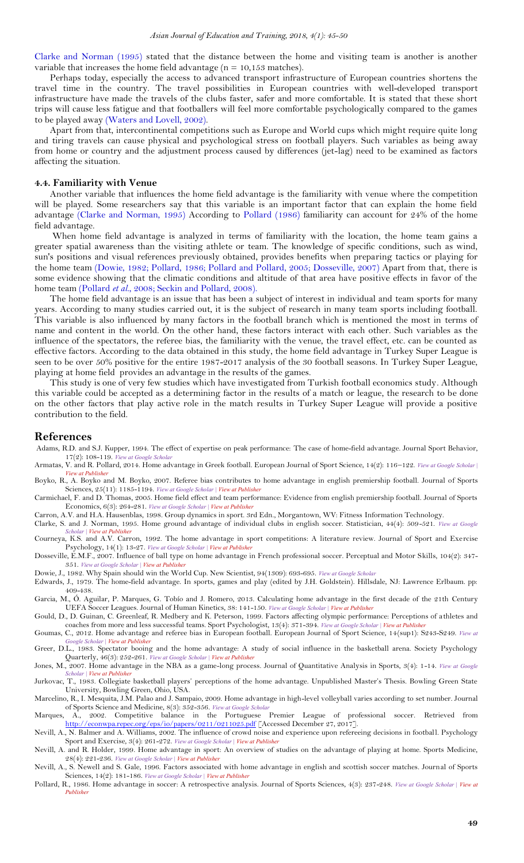[Clarke and Norman \(1995\)](#page-4-21) stated that the distance between the home and visiting team is another is another variable that increases the home field advantage ( $n = 10,153$  matches).

Perhaps today, especially the access to advanced transport infrastructure of European countries shortens the travel time in the country. The travel possibilities in European countries with well-developed transport infrastructure have made the travels of the clubs faster, safer and more comfortable. It is stated that these short trips will cause less fatigue and that footballers will feel more comfortable psychologically compared to the games to be played away [\(Waters and Lovell, 2002\)](#page-5-9).

Apart from that, intercontinental competitions such as Europe and World cups which might require quite long and tiring travels can cause physical and psychological stress on football players. Such variables as being away from home or country and the adjustment process caused by differences (jet-lag) need to be examined as factors affecting the situation.

#### **4.4. Familiarity with Venue**

Another variable that influences the home field advantage is the familiarity with venue where the competition will be played. Some researchers say that this variable is an important factor that can explain the home field advantage [\(Clarke and Norman, 1995\)](#page-4-21) According to [Pollard \(1986\)](#page-4-3) familiarity can account for 24% of the home field advantage.

When home field advantage is analyzed in terms of familiarity with the location, the home team gains a greater spatial awareness than the visiting athlete or team. The knowledge of specific conditions, such as wind, sun's positions and visual references previously obtained, provides benefits when preparing tactics or playing for the home team [\(Dowie, 1982;](#page-4-2) [Pollard, 1986;](#page-4-3) [Pollard and Pollard, 2005;](#page-5-4) [Dosseville, 2007\)](#page-4-22) Apart from that, there is some evidence showing that the climatic conditions and altitude of that area have positive effects in favor of the home team [\(Pollard](#page-5-10) *et al.*, 2008[; Seckin and Pollard, 2008\)](#page-5-5).

The home field advantage is an issue that has been a subject of interest in individual and team sports for many years. According to many studies carried out, it is the subject of research in many team sports including football. This variable is also influenced by many factors in the football branch which is mentioned the most in terms of name and content in the world. On the other hand, these factors interact with each other. Such variables as the influence of the spectators, the referee bias, the familiarity with the venue, the travel effect, etc. can be counted as effective factors. According to the data obtained in this study, the home field advantage in Turkey Super League is seen to be over 50% positive for the entire 1987-2017 analysis of the 30 football seasons. In Turkey Super League, playing at home field provides an advantage in the results of the games.

This study is one of very few studies which have investigated from Turkish football economics study. Although this variable could be accepted as a determining factor in the results of a match or league, the research to be done on the other factors that play active role in the match results in Turkey Super League will provide a positive contribution to the field.

#### <span id="page-4-0"></span>**References**

- <span id="page-4-9"></span>Adams, R.D. and S.J. Kupper, 1994. The effect of expertise on peak performance: The case of home-field advantage. Journal Sport Behavior, 17(2): 108-119. *View at Google [Scholar](https://scholar.google.com/scholar?hl=en&q=The%20effect%20of%20expertise%20on%20peak%20performance:%20The%20case%20of%20home-field%20advantage)*
- <span id="page-4-14"></span>Armatas, V. and R. Pollard, 2014. Home advantage in Greek football. European Journal of Sport Science, 14(2): 116–122. *View at Google [Scholar](https://scholar.google.com/scholar?hl=en&q=Home%20advantage%20in%20Greek%20football) | View at [Publisher](http://dx.doi.org/10.1080/17461391.2012.736537)* Boyko, R., A. Boyko and M. Boyko, 2007. Referee bias contributes to home advantage in english premiership football. Journal of Sports
- <span id="page-4-19"></span>Sciences, 25(11): 1185-1194. *View at Google [Scholar](https://scholar.google.com/scholar?hl=en&q=Referee%20bias%20contributes%20to%20home%20advantage%20in%20english%20premiership%20football) | View at [Publisher](http://dx.doi.org/10.1080/02640410601038576)*

<span id="page-4-15"></span>Carmichael, F. and D. Thomas, 2005. Home field effect and team performance: Evidence from english premiership football. Journal of Sports Economics, 6(3): 264-281. *View at Google [Scholar](https://scholar.google.com/scholar?hl=en&q=Home%20field%20effect%20and%20team%20performance:%20Evidence%20from%20english%20premiership%20football) | View at [Publisher](http://dx.doi.org/10.1177/1527002504266154)*

<span id="page-4-11"></span>Carron, A.V. and H.A. Hausenblas, 1998. Group dynamics in sport. 3rd Edn., Morgantown, WV: Fitness Information Technology.

<span id="page-4-21"></span>Clarke, S. and J. Norman, 1995. Home ground advantage of individual clubs in english soccer. Statistician, 44(4): 509-521. *View at [Google](https://scholar.google.com/scholar?hl=en&q=Home%20ground%20advantage%20of%20individual%20clubs%20in%20english%20soccer) [Scholar](https://scholar.google.com/scholar?hl=en&q=Home%20ground%20advantage%20of%20individual%20clubs%20in%20english%20soccer) | View at [Publisher](http://dx.doi.org/10.2307/2348899)*

<span id="page-4-10"></span>Courneya, K.S. and A.V. Carron, 1992. The home advantage in sport competitions: A literature review. Journal of Sport and Exercise Psychology, 14(1): 13-27. *View at Google [Scholar](https://scholar.google.com/scholar?hl=en&q=The%20home%20advantage%20in%20sport%20competitions:%20A%20literature%20review) | View at [Publisher](http://dx.doi.org/10.1123/jsep.14.1.13)*

<span id="page-4-22"></span>Dosseville, E.M.F., 2007. Influence of ball type on home advantage in French professional soccer. Perceptual and Motor Skills, 104(2): 347- 351. *View at Google [Scholar](https://scholar.google.com/scholar?hl=en&q=Influence%20of%20ball%20type%20on%20home%20advantage%20in%20French%20professional%20soccer) | View at [Publisher](http://dx.doi.org/10.2466/pms.104.2.347-351)*

<span id="page-4-2"></span><span id="page-4-1"></span>Dowie, J., 1982. Why Spain should win the World Cup. New Scientist, 94(1309): 693-695. *View at Google [Scholar](https://scholar.google.com/scholar?hl=en&q=Why%20Spain%20should%20win%20the%20World%20Cup)* Edwards, J., 1979. The home-field advantage. In sports, games and play (edited by J.H. Goldstein). Hillsdale, NJ: Lawrence Erlbaum. pp: 409-438.

<span id="page-4-13"></span>Garcia, M., Ó. Aguilar, P. Marques, G. Tobío and J. Romero, 2013. Calculating home advantage in the first decade of the 21th Century UEFA Soccer Leagues. Journal of Human Kinetics, 38: 141-150. *View at Google [Scholar](https://scholar.google.com/scholar?hl=en&q=Calculating%20home%20advantage%20in%20the%20first%20decade%20of%20the%2021th%20Century%20UEFA%20Soccer%20Leagues) | View at [Publisher](http://dx.doi.org/10.2478/hukin-2013-0054)*

<span id="page-4-16"></span>Gould, D., D. Guinan, C. Greenleaf, R. Medbery and K. Peterson, 1999. Factors affecting olympic performance: Perceptions of athletes and coaches from more and less successful teams. Sport Psychologist, 13(4): 371-394. *View at Google [Scholar](https://scholar.google.com/scholar?hl=en&q=Factors%20affecting%20olympic%20performance:%20Perceptions%20of%20athletes%20and%20coaches%20from%20more%20and%20less%20successful%20teams) | View at [Publisher](http://dx.doi.org/10.1123/tsp.13.4.371)*

<span id="page-4-20"></span>Goumas, C., 2012. Home advantage and referee bias in European football. European Journal of Sport Science, 14(sup1): S243-S249. *[View](https://scholar.google.com/scholar?hl=en&q=Home%20advantage%20and%20referee%20bias%20in%20European%20football) at Google [Scholar](https://scholar.google.com/scholar?hl=en&q=Home%20advantage%20and%20referee%20bias%20in%20European%20football) | View at [Publisher](http://dx.doi.org/10.1080/17461391.2012.686062)*

<span id="page-4-4"></span>Greer, D.L., 1983. Spectator booing and the home advantage: A study of social influence in the basketball arena. Society Psychology Quarterly, 46(3): 252-261. *View at Google [Scholar](https://scholar.google.com/scholar?hl=en&q=Spectator%20booing%20and%20the%20home%20advantage:%20A%20study%20of%20social%20influence%20in%20the%20basketball%20arena) | View at [Publisher](http://dx.doi.org/10.2307/3033796)*

<span id="page-4-6"></span>Jones, M., 2007. Home advantage in the NBA as a game-long process. Journal of Quantitative Analysis in Sports, 3(4): 1-14. *View at [Google](https://scholar.google.com/scholar?hl=en&q=Home%20advantage%20in%20the%20NBA%20as%20a%20game-long%20process) Sholar | View at [Publisher](http://dx.doi.org/10.2202/1559-0410.1081)ry* 

<span id="page-4-5"></span>Jurkovac, T., 1983. Collegiate basketball players' perceptions of the home advantage. Unpublished Master's Thesis. Bowling Green State University, Bowling Green, Ohio, USA.

<span id="page-4-8"></span>Marcelino, R., I. Mesquita, J.M. Palao and J. Sampaio, 2009. Home advantage in high-level volleyball varies according to set number. Journal of Sports Science and Medicine, 8(3): 352-356. *View at Google [Scholar](https://scholar.google.com/scholar?hl=en&q=Home%20advantage%20in%20high-level%20volleyball%20varies%20according%20to%20set%20number)*

<span id="page-4-12"></span>Marques, A., 2002. Competitive balance in the Portuguese Premier League of professional soccer. Retrieved from <http://econwpa.repec.org/eps/io/papers/0211/0211025.pdf> [Accessed December 27, 2017].

<span id="page-4-18"></span>Nevill, A., N. Balmer and A. Williams, 2002. The influence of crowd noise and experience upon refereeing decisions in football. Psychology Sport and Exercise, 3(4): 261-272. *View at Google [Scholar](https://scholar.google.com/scholar?hl=en&q=The%20influence%20of%20crowd%20noise%20and%20experience%20upon%20refereeing%20decisions%20in%20football) | View at [Publisher](http://dx.doi.org/10.1016/s1469-0292(01)00033-4)*

<span id="page-4-7"></span>Nevill, A. and R. Holder, 1999. Home advantage in sport: An overview of studies on the advantage of playing at home. Sports Medicine, 28(4): 221-236. *View at Google [Scholar](https://scholar.google.com/scholar?hl=en&q=Home%20advantage%20in%20sport:%20An%20overview%20of%20studies%20on%20the%20advantage%20of%20playing%20at%20home) | View at [Publisher](http://dx.doi.org/10.2165/00007256-199928040-00001)*

<span id="page-4-17"></span>Nevill, A., S. Newell and S. Gale, 1996. Factors associated with home advantage in english and scottish soccer matches. Journal of Sports Sciences, 14(2): 181-186. *View at Google [Scholar](https://scholar.google.com/scholar?hl=en&q=Factors%20associated%20with%20home%20advantage%20in%20english%20and%20scottish%20soccer%20matches) | View at [Publisher](http://dx.doi.org/10.1080/02640419608727700)*

<span id="page-4-3"></span>Pollard, R., 1986. Home advantage in soccer: A retrospective analysis. Journal of Sports Sciences, 4(3): 237-248. *View at Google [Scholar](https://scholar.google.com/scholar?hl=en&q=Home%20advantage%20in%20soccer:%20A%20retrospective%20analysis) | [View](http://dx.doi.org/10.1080/02640418608732122) at [Publisher](http://dx.doi.org/10.1080/02640418608732122)*